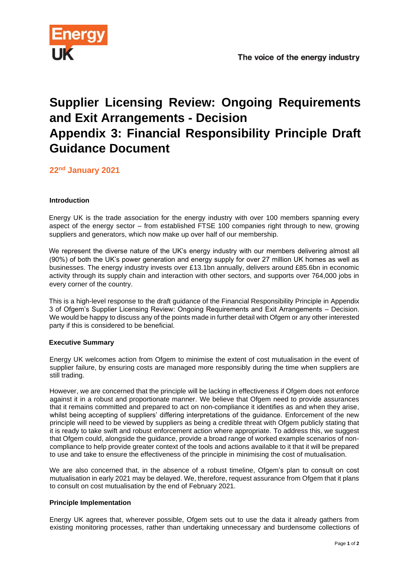

# **Supplier Licensing Review: Ongoing Requirements and Exit Arrangements - Decision Appendix 3: Financial Responsibility Principle Draft Guidance Document**

**22nd January 2021**

### **Introduction**

Energy UK is the trade association for the energy industry with over 100 members spanning every aspect of the energy sector – from established FTSE 100 companies right through to new, growing suppliers and generators, which now make up over half of our membership.

We represent the diverse nature of the UK's energy industry with our members delivering almost all (90%) of both the UK's power generation and energy supply for over 27 million UK homes as well as businesses. The energy industry invests over £13.1bn annually, delivers around £85.6bn in economic activity through its supply chain and interaction with other sectors, and supports over 764,000 jobs in every corner of the country.

This is a high-level response to the draft guidance of the Financial Responsibility Principle in Appendix 3 of Ofgem's Supplier Licensing Review: Ongoing Requirements and Exit Arrangements – Decision. We would be happy to discuss any of the points made in further detail with Ofgem or any other interested party if this is considered to be beneficial.

### **Executive Summary**

Energy UK welcomes action from Ofgem to minimise the extent of cost mutualisation in the event of supplier failure, by ensuring costs are managed more responsibly during the time when suppliers are still trading.

However, we are concerned that the principle will be lacking in effectiveness if Ofgem does not enforce against it in a robust and proportionate manner. We believe that Ofgem need to provide assurances that it remains committed and prepared to act on non-compliance it identifies as and when they arise, whilst being accepting of suppliers' differing interpretations of the guidance. Enforcement of the new principle will need to be viewed by suppliers as being a credible threat with Ofgem publicly stating that it is ready to take swift and robust enforcement action where appropriate. To address this, we suggest that Ofgem could, alongside the guidance, provide a broad range of worked example scenarios of noncompliance to help provide greater context of the tools and actions available to it that it will be prepared to use and take to ensure the effectiveness of the principle in minimising the cost of mutualisation.

We are also concerned that, in the absence of a robust timeline, Ofgem's plan to consult on cost mutualisation in early 2021 may be delayed. We, therefore, request assurance from Ofgem that it plans to consult on cost mutualisation by the end of February 2021.

### **Principle Implementation**

Energy UK agrees that, wherever possible, Ofgem sets out to use the data it already gathers from existing monitoring processes, rather than undertaking unnecessary and burdensome collections of